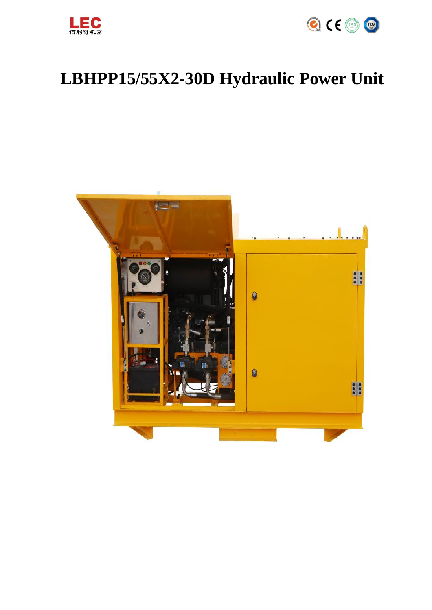



# **LBHPP15/55X2-30D [Hydraulic](file:///C:/Program%20Files%20(x86)/Youdao/Dict/8.5.3.0/resultui/html/index.html#/javascript:;) [Power](file:///C:/Program%20Files%20(x86)/Youdao/Dict/8.5.3.0/resultui/html/index.html#/javascript:;) Unit**

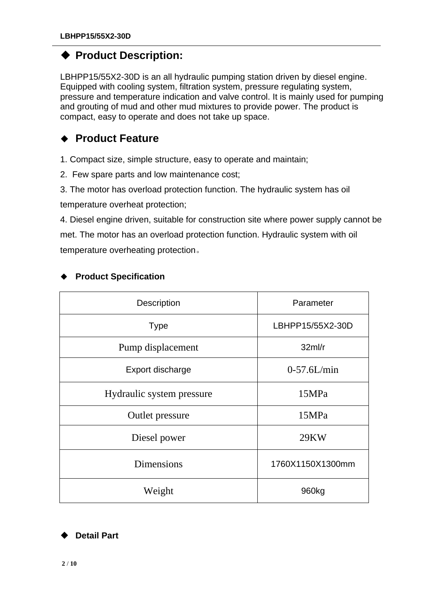## **Product Description:**

LBHPP15/55X2-30D is an all hydraulic pumping station driven by diesel engine. Equipped with cooling system, filtration system, pressure regulating system, pressure and temperature indication and valve control. It is mainly used for pumping and grouting of mud and other mud mixtures to provide power. The product is compact, easy to operate and does not take up space.

## ◆ Product Feature

1. Compact size, simple structure, easy to operate and maintain;

2. Few spare parts and low maintenance cost;

3. The motor has overload protection function. The hydraulic system has oil

temperature overheat protection;

4. Diesel engine driven, suitable for construction site where power supply cannot be met. The motor has an overload protection function. Hydraulic system with oil temperature overheating protection。

| <b>Description</b>        | Parameter        |
|---------------------------|------------------|
| <b>Type</b>               | LBHPP15/55X2-30D |
| Pump displacement         | $32m$ /r         |
| Export discharge          | $0-57.6L/min$    |
| Hydraulic system pressure | 15MPa            |
| Outlet pressure           | 15MPa            |
| Diesel power              | 29KW             |
| <b>Dimensions</b>         | 1760X1150X1300mm |
| Weight                    | 960kg            |

#### **Product Specification**

#### **Detail Part**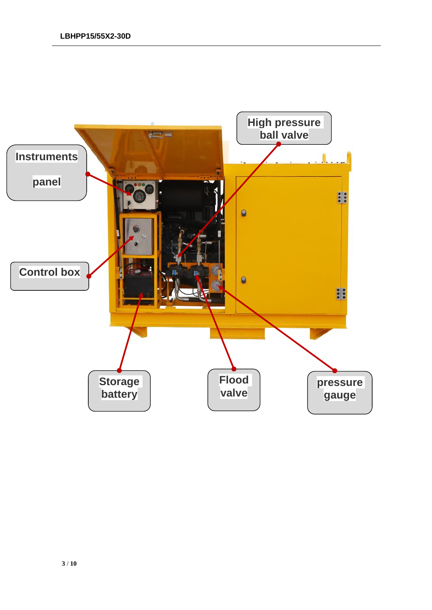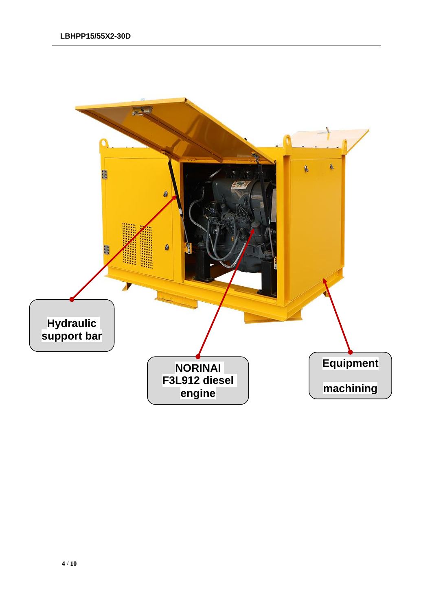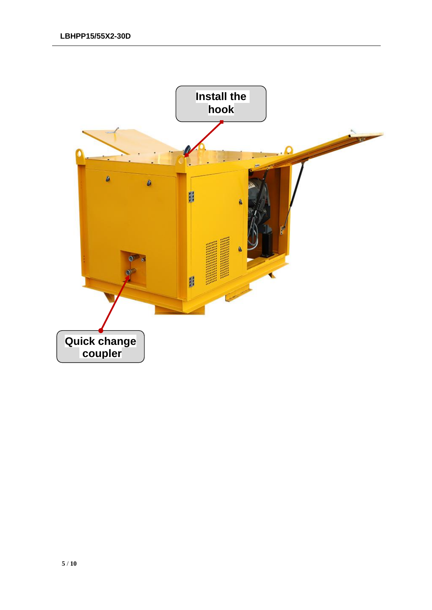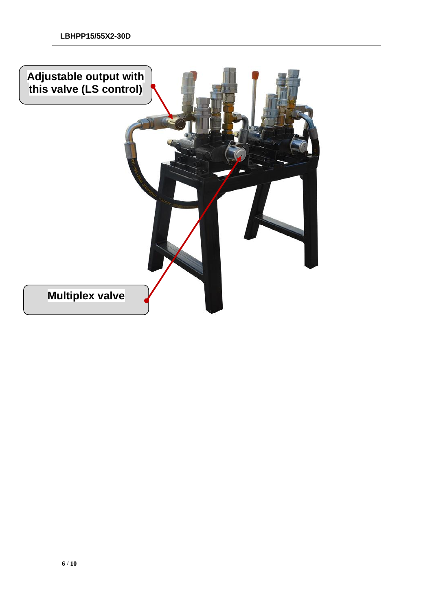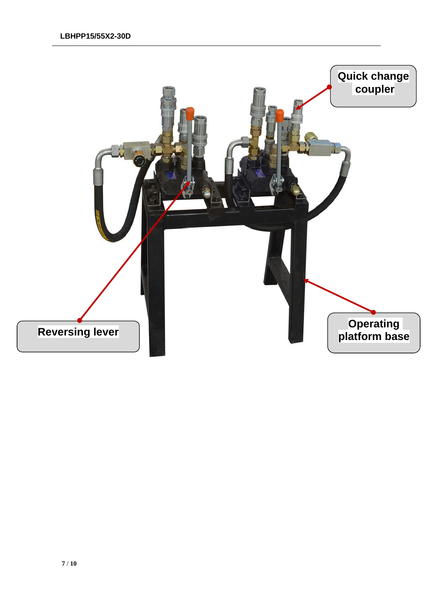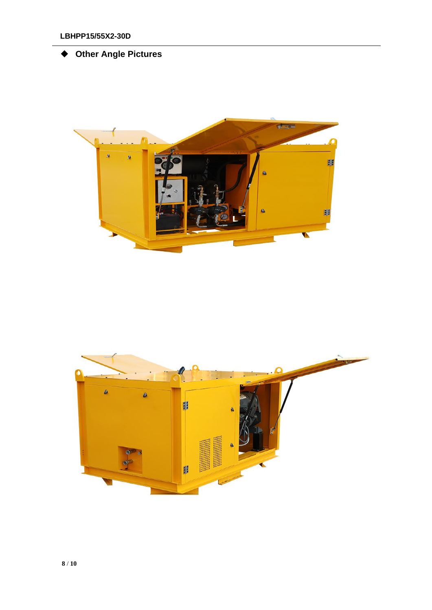### **Other Angle Pictures**



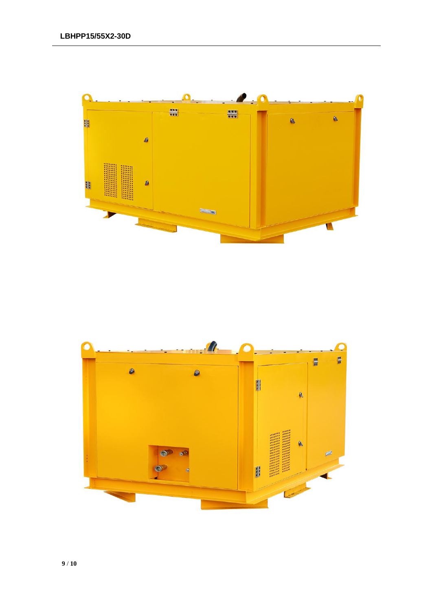